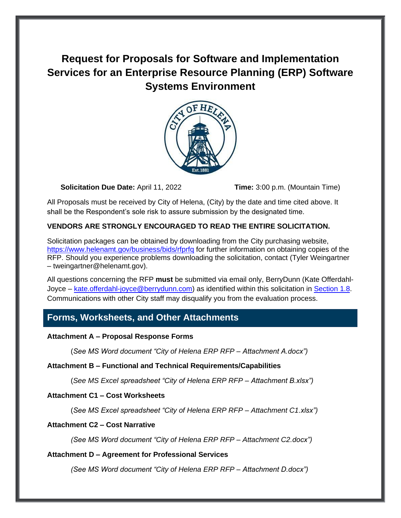# **Request for Proposals for Software and Implementation Services for an Enterprise Resource Planning (ERP) Software Systems Environment**



**Solicitation Due Date:** April 11, 2022 **Time:** 3:00 p.m. (Mountain Time)

All Proposals must be received by City of Helena, (City) by the date and time cited above. It shall be the Respondent's sole risk to assure submission by the designated time.

### **VENDORS ARE STRONGLY ENCOURAGED TO READ THE ENTIRE SOLICITATION.**

Solicitation packages can be obtained by downloading from the City purchasing website, <https://www.helenamt.gov/business/bids/rfprfq> for further information on obtaining copies of the RFP. Should you experience problems downloading the solicitation, contact (Tyler Weingartner – tweingartner@helenamt.gov).

All questions concerning the RFP **must** be submitted via email only, BerryDunn (Kate Offerdahl-Joyce – [kate.offerdahl-joyce@berrydunn.com\)](mailto:kate.offerdahl-joyce@berrydunn.com) as identified within this solicitation in [Section 1.8.](#page-7-0) Communications with other City staff may disqualify you from the evaluation process.

# <span id="page-0-0"></span>**Forms, Worksheets, and Other Attachments**

#### **Attachment A – Proposal Response Forms**

(*See MS Word document "City of Helena ERP RFP – Attachment A.docx")*

#### **Attachment B – Functional and Technical Requirements/Capabilities**

(*See MS Excel spreadsheet "City of Helena ERP RFP – Attachment B.xlsx")*

### **Attachment C1 – Cost Worksheets**

(*See MS Excel spreadsheet "City of Helena ERP RFP – Attachment C1.xlsx")*

### **Attachment C2 – Cost Narrative**

*(See MS Word document "City of Helena ERP RFP – Attachment C2.docx")*

### **Attachment D – Agreement for Professional Services**

*(See MS Word document "City of Helena ERP RFP – Attachment D.docx")*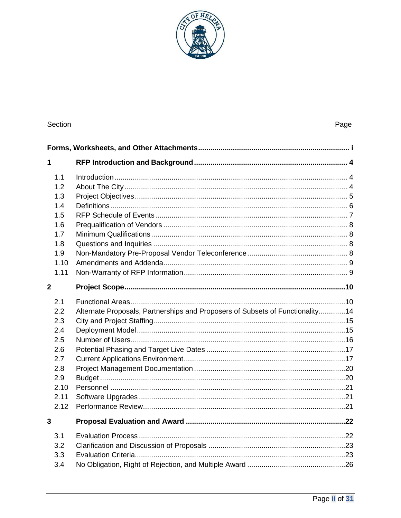

| <b>Section</b> |                                                                               | Page |
|----------------|-------------------------------------------------------------------------------|------|
|                |                                                                               |      |
| 1              |                                                                               |      |
| 1.1            |                                                                               |      |
| 1.2            |                                                                               |      |
| 1.3            |                                                                               |      |
| 1.4            |                                                                               |      |
| 1.5            |                                                                               |      |
| 1.6            |                                                                               |      |
| 1.7            |                                                                               |      |
| 1.8            |                                                                               |      |
| 1.9            |                                                                               |      |
| 1.10           |                                                                               |      |
| 1.11           |                                                                               |      |
| $\mathbf{2}$   |                                                                               |      |
| 2.1            |                                                                               |      |
| 2.2            | Alternate Proposals, Partnerships and Proposers of Subsets of Functionality14 |      |
| 2.3            |                                                                               |      |
| 2.4            |                                                                               |      |
| 2.5            |                                                                               |      |
| 2.6            |                                                                               |      |
| 2.7            |                                                                               |      |
| 2.8            |                                                                               |      |
| 2.9            |                                                                               |      |
| 2.10           |                                                                               |      |
| 2.11           |                                                                               |      |
| 2.12           |                                                                               |      |
| 3              |                                                                               |      |
| 3.1            |                                                                               |      |
| 3.2            |                                                                               |      |
| 3.3            |                                                                               |      |
| 3.4            |                                                                               |      |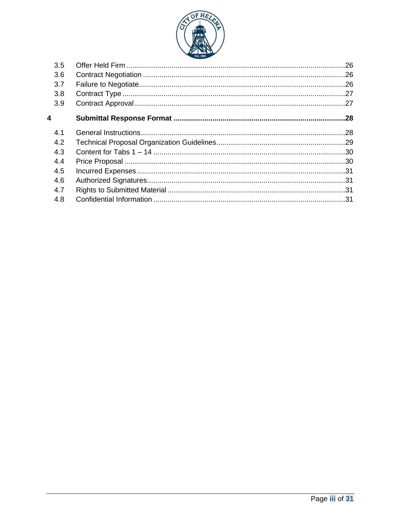

| 3.5 |  |
|-----|--|
| 3.6 |  |
| 3.7 |  |
| 3.8 |  |
| 3.9 |  |
| 4   |  |
| 4.1 |  |
| 4.2 |  |
| 4.3 |  |
| 4.4 |  |
| 4.5 |  |
| 4.6 |  |
| 4.7 |  |
| 4.8 |  |
|     |  |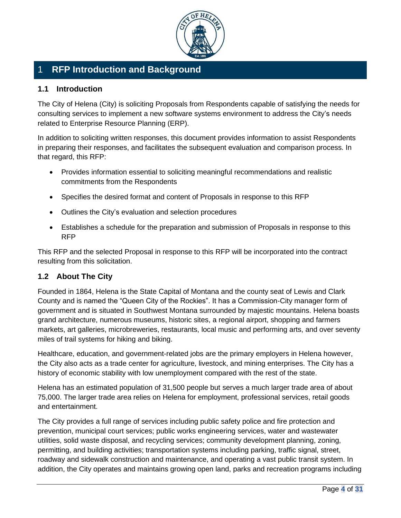

# <span id="page-3-0"></span>1 **RFP Introduction and Background**

### <span id="page-3-1"></span>**1.1 Introduction**

The City of Helena (City) is soliciting Proposals from Respondents capable of satisfying the needs for consulting services to implement a new software systems environment to address the City's needs related to Enterprise Resource Planning (ERP).

In addition to soliciting written responses, this document provides information to assist Respondents in preparing their responses, and facilitates the subsequent evaluation and comparison process. In that regard, this RFP:

- Provides information essential to soliciting meaningful recommendations and realistic commitments from the Respondents
- Specifies the desired format and content of Proposals in response to this RFP
- Outlines the City's evaluation and selection procedures
- Establishes a schedule for the preparation and submission of Proposals in response to this RFP

This RFP and the selected Proposal in response to this RFP will be incorporated into the contract resulting from this solicitation.

# <span id="page-3-2"></span>**1.2 About The City**

Founded in 1864, Helena is the State Capital of Montana and the county seat of Lewis and Clark County and is named the "Queen City of the Rockies". It has a Commission-City manager form of government and is situated in Southwest Montana surrounded by majestic mountains. Helena boasts grand architecture, numerous museums, historic sites, a regional airport, shopping and farmers markets, art galleries, microbreweries, restaurants, local music and performing arts, and over seventy miles of trail systems for hiking and biking.

Healthcare, education, and government-related jobs are the primary employers in Helena however, the City also acts as a trade center for agriculture, livestock, and mining enterprises. The City has a history of economic stability with low unemployment compared with the rest of the state.

Helena has an estimated population of 31,500 people but serves a much larger trade area of about 75,000. The larger trade area relies on Helena for employment, professional services, retail goods and entertainment.

The City provides a full range of services including public safety police and fire protection and prevention, municipal court services; public works engineering services, water and wastewater utilities, solid waste disposal, and recycling services; community development planning, zoning, permitting, and building activities; transportation systems including parking, traffic signal, street, roadway and sidewalk construction and maintenance, and operating a vast public transit system. In addition, the City operates and maintains growing open land, parks and recreation programs including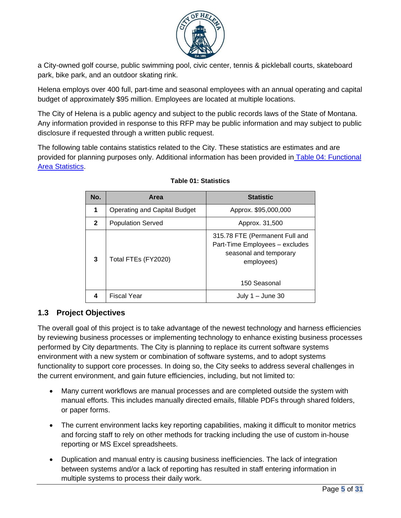

a City-owned golf course, public swimming pool, civic center, tennis & pickleball courts, skateboard park, bike park, and an outdoor skating rink.

Helena employs over 400 full, part-time and seasonal employees with an annual operating and capital budget of approximately \$95 million. Employees are located at multiple locations.

The City of Helena is a public agency and subject to the public records laws of the State of Montana. Any information provided in response to this RFP may be public information and may subject to public disclosure if requested through a written public request.

The following table contains statistics related to the City. These statistics are estimates and are provided for planning purposes only. Additional information has been provided in [Table 04: Functional](#page-9-2)  [Area Statistics.](#page-9-2)

| No.          | Area                                | <b>Statistic</b>                                                                                                         |
|--------------|-------------------------------------|--------------------------------------------------------------------------------------------------------------------------|
| 1            | <b>Operating and Capital Budget</b> | Approx. \$95,000,000                                                                                                     |
| $\mathbf{2}$ | <b>Population Served</b>            | Approx. 31,500                                                                                                           |
| 3            | Total FTEs (FY2020)                 | 315.78 FTE (Permanent Full and<br>Part-Time Employees - excludes<br>seasonal and temporary<br>employees)<br>150 Seasonal |
| 4            | Fiscal Year                         | July $1 -$ June 30                                                                                                       |

#### **Table 01: Statistics**

# <span id="page-4-0"></span>**1.3 Project Objectives**

The overall goal of this project is to take advantage of the newest technology and harness efficiencies by reviewing business processes or implementing technology to enhance existing business processes performed by City departments. The City is planning to replace its current software systems environment with a new system or combination of software systems, and to adopt systems functionality to support core processes. In doing so, the City seeks to address several challenges in the current environment, and gain future efficiencies, including, but not limited to:

- Many current workflows are manual processes and are completed outside the system with manual efforts. This includes manually directed emails, fillable PDFs through shared folders, or paper forms.
- The current environment lacks key reporting capabilities, making it difficult to monitor metrics and forcing staff to rely on other methods for tracking including the use of custom in-house reporting or MS Excel spreadsheets.
- Duplication and manual entry is causing business inefficiencies. The lack of integration between systems and/or a lack of reporting has resulted in staff entering information in multiple systems to process their daily work.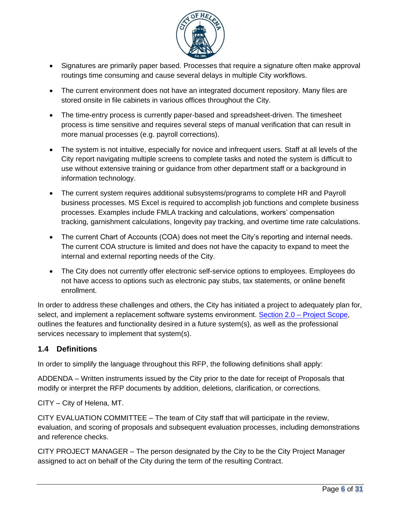

- Signatures are primarily paper based. Processes that require a signature often make approval routings time consuming and cause several delays in multiple City workflows.
- The current environment does not have an integrated document repository. Many files are stored onsite in file cabinets in various offices throughout the City.
- The time-entry process is currently paper-based and spreadsheet-driven. The timesheet process is time sensitive and requires several steps of manual verification that can result in more manual processes (e.g. payroll corrections).
- The system is not intuitive, especially for novice and infrequent users. Staff at all levels of the City report navigating multiple screens to complete tasks and noted the system is difficult to use without extensive training or guidance from other department staff or a background in information technology.
- The current system requires additional subsystems/programs to complete HR and Payroll business processes. MS Excel is required to accomplish job functions and complete business processes. Examples include FMLA tracking and calculations, workers' compensation tracking, garnishment calculations, longevity pay tracking, and overtime time rate calculations.
- The current Chart of Accounts (COA) does not meet the City's reporting and internal needs. The current COA structure is limited and does not have the capacity to expand to meet the internal and external reporting needs of the City.
- The City does not currently offer electronic self-service options to employees. Employees do not have access to options such as electronic pay stubs, tax statements, or online benefit enrollment.

In order to address these challenges and others, the City has initiated a project to adequately plan for, select, and implement a replacement software systems environment. Section 2.0 – [Project Scope,](#page-9-0) outlines the features and functionality desired in a future system(s), as well as the professional services necessary to implement that system(s).

# <span id="page-5-0"></span>**1.4 Definitions**

In order to simplify the language throughout this RFP, the following definitions shall apply:

ADDENDA – Written instruments issued by the City prior to the date for receipt of Proposals that modify or interpret the RFP documents by addition, deletions, clarification, or corrections.

CITY – City of Helena, MT.

CITY EVALUATION COMMITTEE – The team of City staff that will participate in the review, evaluation, and scoring of proposals and subsequent evaluation processes, including demonstrations and reference checks.

CITY PROJECT MANAGER – The person designated by the City to be the City Project Manager assigned to act on behalf of the City during the term of the resulting Contract.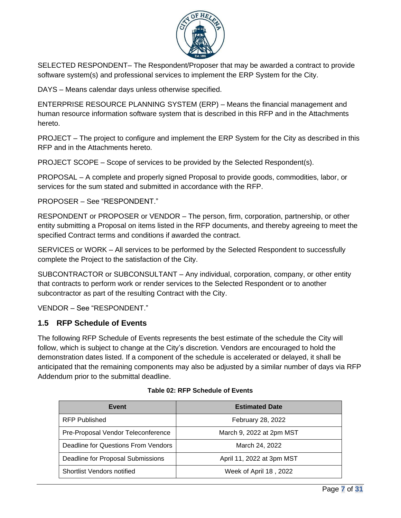

SELECTED RESPONDENT– The Respondent/Proposer that may be awarded a contract to provide software system(s) and professional services to implement the ERP System for the City.

DAYS – Means calendar days unless otherwise specified.

ENTERPRISE RESOURCE PLANNING SYSTEM (ERP) – Means the financial management and human resource information software system that is described in this RFP and in the Attachments hereto.

PROJECT – The project to configure and implement the ERP System for the City as described in this RFP and in the Attachments hereto.

PROJECT SCOPE – Scope of services to be provided by the Selected Respondent(s).

PROPOSAL – A complete and properly signed Proposal to provide goods, commodities, labor, or services for the sum stated and submitted in accordance with the RFP.

PROPOSER – See "RESPONDENT."

RESPONDENT or PROPOSER or VENDOR – The person, firm, corporation, partnership, or other entity submitting a Proposal on items listed in the RFP documents, and thereby agreeing to meet the specified Contract terms and conditions if awarded the contract.

SERVICES or WORK – All services to be performed by the Selected Respondent to successfully complete the Project to the satisfaction of the City.

SUBCONTRACTOR or SUBCONSULTANT – Any individual, corporation, company, or other entity that contracts to perform work or render services to the Selected Respondent or to another subcontractor as part of the resulting Contract with the City.

VENDOR – See "RESPONDENT."

# <span id="page-6-0"></span>**1.5 RFP Schedule of Events**

The following RFP Schedule of Events represents the best estimate of the schedule the City will follow, which is subject to change at the City's discretion. Vendors are encouraged to hold the demonstration dates listed. If a component of the schedule is accelerated or delayed, it shall be anticipated that the remaining components may also be adjusted by a similar number of days via RFP Addendum prior to the submittal deadline.

| Event                               | <b>Estimated Date</b>     |
|-------------------------------------|---------------------------|
| <b>RFP Published</b>                | February 28, 2022         |
| Pre-Proposal Vendor Teleconference  | March 9, 2022 at 2pm MST  |
| Deadline for Questions From Vendors | March 24, 2022            |
| Deadline for Proposal Submissions   | April 11, 2022 at 3pm MST |
| Shortlist Vendors notified          | Week of April 18, 2022    |

#### <span id="page-6-1"></span>**Table 02: RFP Schedule of Events**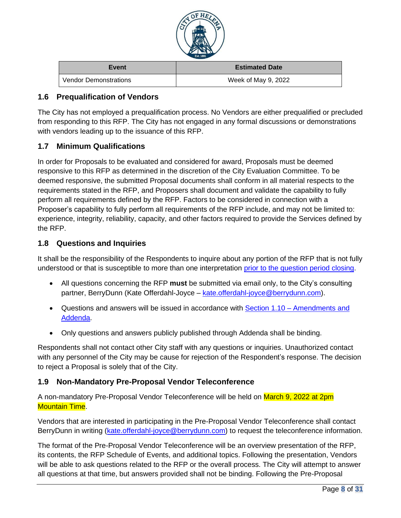

| Event                        | <b>Estimated Date</b> |
|------------------------------|-----------------------|
| <b>Vendor Demonstrations</b> | Week of May 9, 2022   |

### <span id="page-7-1"></span>**1.6 Prequalification of Vendors**

The City has not employed a prequalification process. No Vendors are either prequalified or precluded from responding to this RFP. The City has not engaged in any formal discussions or demonstrations with vendors leading up to the issuance of this RFP.

### <span id="page-7-2"></span>**1.7 Minimum Qualifications**

In order for Proposals to be evaluated and considered for award, Proposals must be deemed responsive to this RFP as determined in the discretion of the City Evaluation Committee. To be deemed responsive, the submitted Proposal documents shall conform in all material respects to the requirements stated in the RFP, and Proposers shall document and validate the capability to fully perform all requirements defined by the RFP. Factors to be considered in connection with a Proposer's capability to fully perform all requirements of the RFP include, and may not be limited to: experience, integrity, reliability, capacity, and other factors required to provide the Services defined by the RFP.

### <span id="page-7-0"></span>**1.8 Questions and Inquiries**

It shall be the responsibility of the Respondents to inquire about any portion of the RFP that is not fully understood or that is susceptible to more than one interpretation [prior to the question period closing.](#page-6-1)

- All questions concerning the RFP **must** be submitted via email only, to the City's consulting partner, BerryDunn (Kate Offerdahl-Joyce – [kate.offerdahl-joyce@berrydunn.com\)](mailto:kate.offerdahl-joyce@berrydunn.com).
- Questions and answers will be issued in accordance with Section 1.10 [Amendments and](#page-8-0)  [Addenda.](#page-8-0)
- Only questions and answers publicly published through Addenda shall be binding.

Respondents shall not contact other City staff with any questions or inquiries. Unauthorized contact with any personnel of the City may be cause for rejection of the Respondent's response. The decision to reject a Proposal is solely that of the City.

### <span id="page-7-3"></span>**1.9 Non-Mandatory Pre-Proposal Vendor Teleconference**

A non-mandatory Pre-Proposal Vendor Teleconference will be held on March 9, 2022 at 2pm Mountain Time.

Vendors that are interested in participating in the Pre-Proposal Vendor Teleconference shall contact BerryDunn in writing [\(kate.offerdahl-joyce@berrydunn.com\)](mailto:kate.offerdahl-joyce@berrydunn.com) to request the teleconference information.

The format of the Pre-Proposal Vendor Teleconference will be an overview presentation of the RFP, its contents, the RFP Schedule of Events, and additional topics. Following the presentation, Vendors will be able to ask questions related to the RFP or the overall process. The City will attempt to answer all questions at that time, but answers provided shall not be binding. Following the Pre-Proposal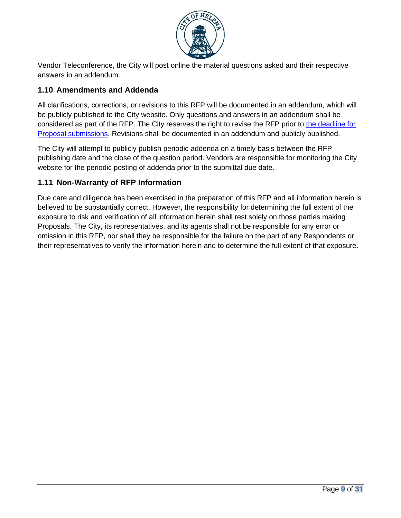

Vendor Teleconference, the City will post online the material questions asked and their respective answers in an addendum.

# <span id="page-8-0"></span>**1.10 Amendments and Addenda**

All clarifications, corrections, or revisions to this RFP will be documented in an addendum, which will be publicly published to the City website. Only questions and answers in an addendum shall be considered as part of the RFP. The City reserves the right to revise the RFP prior to [the deadline for](#page-6-1)  [Proposal submissions.](#page-6-1) Revisions shall be documented in an addendum and publicly published.

The City will attempt to publicly publish periodic addenda on a timely basis between the RFP publishing date and the close of the question period. Vendors are responsible for monitoring the City website for the periodic posting of addenda prior to the submittal due date.

# <span id="page-8-1"></span>**1.11 Non-Warranty of RFP Information**

Due care and diligence has been exercised in the preparation of this RFP and all information herein is believed to be substantially correct. However, the responsibility for determining the full extent of the exposure to risk and verification of all information herein shall rest solely on those parties making Proposals. The City, its representatives, and its agents shall not be responsible for any error or omission in this RFP, nor shall they be responsible for the failure on the part of any Respondents or their representatives to verify the information herein and to determine the full extent of that exposure.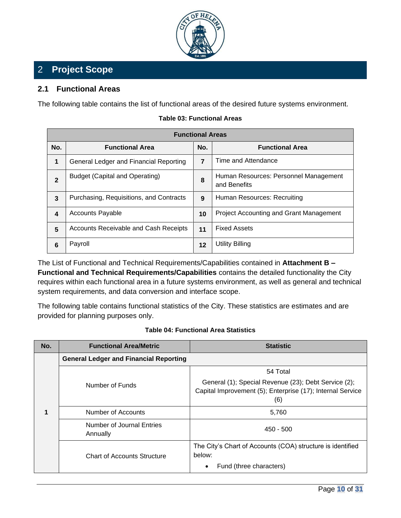

# <span id="page-9-0"></span>2 **Project Scope**

### <span id="page-9-1"></span>**2.1 Functional Areas**

The following table contains the list of functional areas of the desired future systems environment.

| <b>Functional Areas</b> |                                              |     |                                                       |
|-------------------------|----------------------------------------------|-----|-------------------------------------------------------|
| No.                     | <b>Functional Area</b>                       | No. | <b>Functional Area</b>                                |
| 1                       | General Ledger and Financial Reporting       | 7   | Time and Attendance                                   |
| $\mathbf{2}$            | <b>Budget (Capital and Operating)</b>        | 8   | Human Resources: Personnel Management<br>and Benefits |
| 3                       | Purchasing, Requisitions, and Contracts      | 9   | Human Resources: Recruiting                           |
| 4                       | <b>Accounts Payable</b>                      | 10  | <b>Project Accounting and Grant Management</b>        |
| 5                       | <b>Accounts Receivable and Cash Receipts</b> | 11  | <b>Fixed Assets</b>                                   |
| 6                       | Payroll                                      | 12  | Utility Billing                                       |

#### **Table 03: Functional Areas**

The List of Functional and Technical Requirements/Capabilities contained in **Attachment B – Functional and Technical Requirements/Capabilities** contains the detailed functionality the City requires within each functional area in a future systems environment, as well as general and technical system requirements, and data conversion and interface scope.

The following table contains functional statistics of the City. These statistics are estimates and are provided for planning purposes only.

#### **Table 04: Functional Area Statistics**

<span id="page-9-2"></span>

| No. | <b>Functional Area/Metric</b>                 | <b>Statistic</b>                                                                                                          |  |  |
|-----|-----------------------------------------------|---------------------------------------------------------------------------------------------------------------------------|--|--|
| 1   | <b>General Ledger and Financial Reporting</b> |                                                                                                                           |  |  |
|     | Number of Funds                               | 54 Total                                                                                                                  |  |  |
|     |                                               | General (1); Special Revenue (23); Debt Service (2);<br>Capital Improvement (5); Enterprise (17); Internal Service<br>(6) |  |  |
|     | Number of Accounts                            | 5,760                                                                                                                     |  |  |
|     | Number of Journal Entries<br>Annually         | $450 - 500$                                                                                                               |  |  |
|     | <b>Chart of Accounts Structure</b>            | The City's Chart of Accounts (COA) structure is identified<br>below:                                                      |  |  |
|     |                                               | Fund (three characters)<br>$\bullet$                                                                                      |  |  |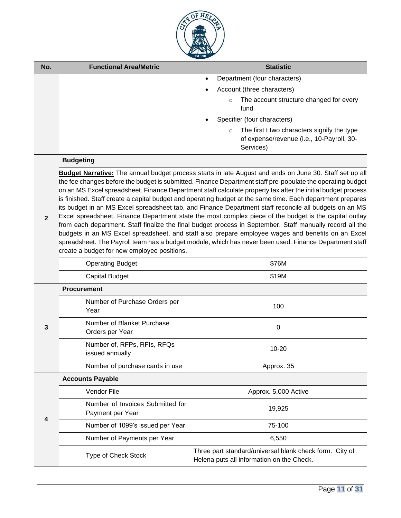

| No.            | <b>Functional Area/Metric</b>                        | <b>Statistic</b>                                                                                                                                                                                                                                                                                                                                                                                                                                                                                                                                                                                                                                                                                                                                                                                                                                                                                                                                                                                     |
|----------------|------------------------------------------------------|------------------------------------------------------------------------------------------------------------------------------------------------------------------------------------------------------------------------------------------------------------------------------------------------------------------------------------------------------------------------------------------------------------------------------------------------------------------------------------------------------------------------------------------------------------------------------------------------------------------------------------------------------------------------------------------------------------------------------------------------------------------------------------------------------------------------------------------------------------------------------------------------------------------------------------------------------------------------------------------------------|
|                |                                                      | Department (four characters)<br>$\bullet$                                                                                                                                                                                                                                                                                                                                                                                                                                                                                                                                                                                                                                                                                                                                                                                                                                                                                                                                                            |
|                |                                                      | Account (three characters)                                                                                                                                                                                                                                                                                                                                                                                                                                                                                                                                                                                                                                                                                                                                                                                                                                                                                                                                                                           |
|                |                                                      | The account structure changed for every<br>$\circ$<br>fund                                                                                                                                                                                                                                                                                                                                                                                                                                                                                                                                                                                                                                                                                                                                                                                                                                                                                                                                           |
|                |                                                      | Specifier (four characters)                                                                                                                                                                                                                                                                                                                                                                                                                                                                                                                                                                                                                                                                                                                                                                                                                                                                                                                                                                          |
|                |                                                      | The first t two characters signify the type<br>$\circ$<br>of expense/revenue (i.e., 10-Payroll, 30-<br>Services)                                                                                                                                                                                                                                                                                                                                                                                                                                                                                                                                                                                                                                                                                                                                                                                                                                                                                     |
|                | <b>Budgeting</b>                                     |                                                                                                                                                                                                                                                                                                                                                                                                                                                                                                                                                                                                                                                                                                                                                                                                                                                                                                                                                                                                      |
| $\overline{2}$ | create a budget for new employee positions.          | Budget Narrative: The annual budget process starts in late August and ends on June 30. Staff set up all<br>the fee changes before the budget is submitted. Finance Department staff pre-populate the operating budget<br>on an MS Excel spreadsheet. Finance Department staff calculate property tax after the initial budget process<br>is finished. Staff create a capital budget and operating budget at the same time. Each department prepares<br>its budget in an MS Excel spreadsheet tab, and Finance Department staff reconcile all budgets on an MS<br>Excel spreadsheet. Finance Department state the most complex piece of the budget is the capital outlay<br>from each department. Staff finalize the final budget process in September. Staff manually record all the<br>budgets in an MS Excel spreadsheet, and staff also prepare employee wages and benefits on an Excel<br>spreadsheet. The Payroll team has a budget module, which has never been used. Finance Department staff |
|                | <b>Operating Budget</b>                              | \$76M                                                                                                                                                                                                                                                                                                                                                                                                                                                                                                                                                                                                                                                                                                                                                                                                                                                                                                                                                                                                |
|                | <b>Capital Budget</b>                                | \$19M                                                                                                                                                                                                                                                                                                                                                                                                                                                                                                                                                                                                                                                                                                                                                                                                                                                                                                                                                                                                |
|                | <b>Procurement</b>                                   |                                                                                                                                                                                                                                                                                                                                                                                                                                                                                                                                                                                                                                                                                                                                                                                                                                                                                                                                                                                                      |
|                | Number of Purchase Orders per<br>Year                | 100                                                                                                                                                                                                                                                                                                                                                                                                                                                                                                                                                                                                                                                                                                                                                                                                                                                                                                                                                                                                  |
| 3              | Number of Blanket Purchase<br>Orders per Year        | $\mathbf 0$                                                                                                                                                                                                                                                                                                                                                                                                                                                                                                                                                                                                                                                                                                                                                                                                                                                                                                                                                                                          |
|                | Number of, RFPs, RFIs, RFQs<br>issued annually       | $10 - 20$                                                                                                                                                                                                                                                                                                                                                                                                                                                                                                                                                                                                                                                                                                                                                                                                                                                                                                                                                                                            |
|                | Number of purchase cards in use                      | Approx. 35                                                                                                                                                                                                                                                                                                                                                                                                                                                                                                                                                                                                                                                                                                                                                                                                                                                                                                                                                                                           |
|                | <b>Accounts Payable</b>                              |                                                                                                                                                                                                                                                                                                                                                                                                                                                                                                                                                                                                                                                                                                                                                                                                                                                                                                                                                                                                      |
|                | Vendor File                                          | Approx. 5,000 Active                                                                                                                                                                                                                                                                                                                                                                                                                                                                                                                                                                                                                                                                                                                                                                                                                                                                                                                                                                                 |
| 4              | Number of Invoices Submitted for<br>Payment per Year | 19,925                                                                                                                                                                                                                                                                                                                                                                                                                                                                                                                                                                                                                                                                                                                                                                                                                                                                                                                                                                                               |
|                | Number of 1099's issued per Year                     | 75-100                                                                                                                                                                                                                                                                                                                                                                                                                                                                                                                                                                                                                                                                                                                                                                                                                                                                                                                                                                                               |
|                | Number of Payments per Year                          | 6,550                                                                                                                                                                                                                                                                                                                                                                                                                                                                                                                                                                                                                                                                                                                                                                                                                                                                                                                                                                                                |
|                | Type of Check Stock                                  | Three part standard/universal blank check form. City of<br>Helena puts all information on the Check.                                                                                                                                                                                                                                                                                                                                                                                                                                                                                                                                                                                                                                                                                                                                                                                                                                                                                                 |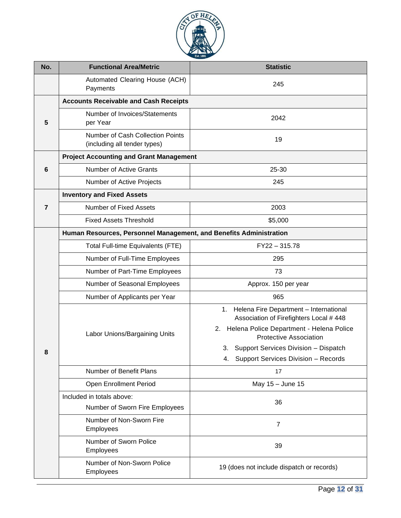

| No.            | <b>Functional Area/Metric</b>                                           | <b>Statistic</b>                                                                                 |
|----------------|-------------------------------------------------------------------------|--------------------------------------------------------------------------------------------------|
|                | Automated Clearing House (ACH)<br>Payments                              | 245                                                                                              |
|                | <b>Accounts Receivable and Cash Receipts</b>                            |                                                                                                  |
| 5              | Number of Invoices/Statements<br>per Year                               | 2042                                                                                             |
|                | <b>Number of Cash Collection Points</b><br>(including all tender types) | 19                                                                                               |
|                | <b>Project Accounting and Grant Management</b>                          |                                                                                                  |
| 6              | <b>Number of Active Grants</b>                                          | 25-30                                                                                            |
|                | Number of Active Projects                                               | 245                                                                                              |
|                | <b>Inventory and Fixed Assets</b>                                       |                                                                                                  |
| $\overline{7}$ | Number of Fixed Assets                                                  | 2003                                                                                             |
|                | <b>Fixed Assets Threshold</b>                                           | \$5,000                                                                                          |
|                | Human Resources, Personnel Management, and Benefits Administration      |                                                                                                  |
|                | Total Full-time Equivalents (FTE)                                       | FY22-315.78                                                                                      |
|                | Number of Full-Time Employees                                           | 295                                                                                              |
|                | Number of Part-Time Employees                                           | 73                                                                                               |
|                | Number of Seasonal Employees                                            | Approx. 150 per year                                                                             |
|                | Number of Applicants per Year                                           | 965                                                                                              |
|                |                                                                         | Helena Fire Department - International<br>$1_{\cdot}$<br>Association of Firefighters Local # 448 |
|                | Labor Unions/Bargaining Units                                           | 2. Helena Police Department - Helena Police<br><b>Protective Association</b>                     |
| 8              |                                                                         | 3. Support Services Division - Dispatch                                                          |
|                |                                                                         | Support Services Division - Records<br>4.                                                        |
|                | Number of Benefit Plans                                                 | 17                                                                                               |
|                | Open Enrollment Period                                                  | May 15 - June 15                                                                                 |
|                | Included in totals above:<br>Number of Sworn Fire Employees             | 36                                                                                               |
|                | Number of Non-Sworn Fire                                                |                                                                                                  |
|                | Employees                                                               | $\overline{7}$                                                                                   |
|                | Number of Sworn Police<br>Employees                                     | 39                                                                                               |
|                | Number of Non-Sworn Police<br>Employees                                 | 19 (does not include dispatch or records)                                                        |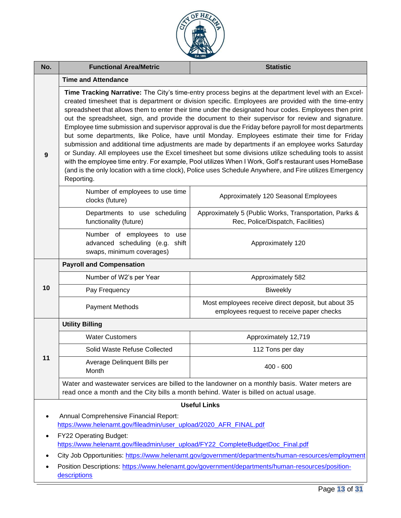

| No.                 | <b>Functional Area/Metric</b><br><b>Statistic</b>                                                                                                                                                                                                                                                                                                                                                                                                                                                                                                                                                                                                                                                                                                                                                                                                                                                                                                                                                                                                                                         |                                                                                                  |  |  |
|---------------------|-------------------------------------------------------------------------------------------------------------------------------------------------------------------------------------------------------------------------------------------------------------------------------------------------------------------------------------------------------------------------------------------------------------------------------------------------------------------------------------------------------------------------------------------------------------------------------------------------------------------------------------------------------------------------------------------------------------------------------------------------------------------------------------------------------------------------------------------------------------------------------------------------------------------------------------------------------------------------------------------------------------------------------------------------------------------------------------------|--------------------------------------------------------------------------------------------------|--|--|
|                     | <b>Time and Attendance</b>                                                                                                                                                                                                                                                                                                                                                                                                                                                                                                                                                                                                                                                                                                                                                                                                                                                                                                                                                                                                                                                                |                                                                                                  |  |  |
| 9                   | Time Tracking Narrative: The City's time-entry process begins at the department level with an Excel-<br>created timesheet that is department or division specific. Employees are provided with the time-entry<br>spreadsheet that allows them to enter their time under the designated hour codes. Employees then print<br>out the spreadsheet, sign, and provide the document to their supervisor for review and signature.<br>Employee time submission and supervisor approval is due the Friday before payroll for most departments<br>but some departments, like Police, have until Monday. Employees estimate their time for Friday<br>submission and additional time adjustments are made by departments if an employee works Saturday<br>or Sunday. All employees use the Excel timesheet but some divisions utilize scheduling tools to assist<br>with the employee time entry. For example, Pool utilizes When I Work, Golf's restaurant uses HomeBase<br>(and is the only location with a time clock), Police uses Schedule Anywhere, and Fire utilizes Emergency<br>Reporting. |                                                                                                  |  |  |
|                     | Number of employees to use time<br>clocks (future)                                                                                                                                                                                                                                                                                                                                                                                                                                                                                                                                                                                                                                                                                                                                                                                                                                                                                                                                                                                                                                        | Approximately 120 Seasonal Employees                                                             |  |  |
|                     | Departments to use scheduling<br>functionality (future)                                                                                                                                                                                                                                                                                                                                                                                                                                                                                                                                                                                                                                                                                                                                                                                                                                                                                                                                                                                                                                   | Approximately 5 (Public Works, Transportation, Parks &<br>Rec, Police/Dispatch, Facilities)      |  |  |
|                     | Number of employees to use<br>advanced scheduling (e.g.<br>shift<br>swaps, minimum coverages)                                                                                                                                                                                                                                                                                                                                                                                                                                                                                                                                                                                                                                                                                                                                                                                                                                                                                                                                                                                             | Approximately 120                                                                                |  |  |
|                     | <b>Payroll and Compensation</b>                                                                                                                                                                                                                                                                                                                                                                                                                                                                                                                                                                                                                                                                                                                                                                                                                                                                                                                                                                                                                                                           |                                                                                                  |  |  |
|                     | Number of W2's per Year                                                                                                                                                                                                                                                                                                                                                                                                                                                                                                                                                                                                                                                                                                                                                                                                                                                                                                                                                                                                                                                                   | Approximately 582                                                                                |  |  |
| 10                  | Pay Frequency                                                                                                                                                                                                                                                                                                                                                                                                                                                                                                                                                                                                                                                                                                                                                                                                                                                                                                                                                                                                                                                                             | <b>Biweekly</b>                                                                                  |  |  |
|                     | <b>Payment Methods</b>                                                                                                                                                                                                                                                                                                                                                                                                                                                                                                                                                                                                                                                                                                                                                                                                                                                                                                                                                                                                                                                                    | Most employees receive direct deposit, but about 35<br>employees request to receive paper checks |  |  |
|                     | <b>Utility Billing</b>                                                                                                                                                                                                                                                                                                                                                                                                                                                                                                                                                                                                                                                                                                                                                                                                                                                                                                                                                                                                                                                                    |                                                                                                  |  |  |
|                     | <b>Water Customers</b>                                                                                                                                                                                                                                                                                                                                                                                                                                                                                                                                                                                                                                                                                                                                                                                                                                                                                                                                                                                                                                                                    | Approximately 12,719                                                                             |  |  |
|                     | Solid Waste Refuse Collected                                                                                                                                                                                                                                                                                                                                                                                                                                                                                                                                                                                                                                                                                                                                                                                                                                                                                                                                                                                                                                                              | 112 Tons per day                                                                                 |  |  |
| 11                  | Average Delinquent Bills per<br>Month                                                                                                                                                                                                                                                                                                                                                                                                                                                                                                                                                                                                                                                                                                                                                                                                                                                                                                                                                                                                                                                     | $400 - 600$                                                                                      |  |  |
|                     | read once a month and the City bills a month behind. Water is billed on actual usage.                                                                                                                                                                                                                                                                                                                                                                                                                                                                                                                                                                                                                                                                                                                                                                                                                                                                                                                                                                                                     | Water and wastewater services are billed to the landowner on a monthly basis. Water meters are   |  |  |
| <b>Useful Links</b> |                                                                                                                                                                                                                                                                                                                                                                                                                                                                                                                                                                                                                                                                                                                                                                                                                                                                                                                                                                                                                                                                                           |                                                                                                  |  |  |
|                     | Annual Comprehensive Financial Report:<br>https://www.helenamt.gov/fileadmin/user_upload/2020_AFR_FINAL.pdf                                                                                                                                                                                                                                                                                                                                                                                                                                                                                                                                                                                                                                                                                                                                                                                                                                                                                                                                                                               |                                                                                                  |  |  |
|                     | FY22 Operating Budget:<br>https://www.helenamt.gov/fileadmin/user_upload/FY22_CompleteBudgetDoc_Final.pdf                                                                                                                                                                                                                                                                                                                                                                                                                                                                                                                                                                                                                                                                                                                                                                                                                                                                                                                                                                                 |                                                                                                  |  |  |
|                     | City Job Opportunities: https://www.helenamt.gov/government/departments/human-resources/employment                                                                                                                                                                                                                                                                                                                                                                                                                                                                                                                                                                                                                                                                                                                                                                                                                                                                                                                                                                                        |                                                                                                  |  |  |
| ٠                   | Position Descriptions: https://www.helenamt.gov/government/departments/human-resources/position-<br>descriptions                                                                                                                                                                                                                                                                                                                                                                                                                                                                                                                                                                                                                                                                                                                                                                                                                                                                                                                                                                          |                                                                                                  |  |  |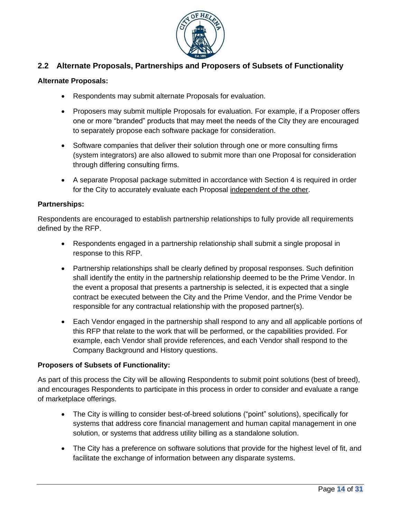

# <span id="page-13-0"></span>**2.2 Alternate Proposals, Partnerships and Proposers of Subsets of Functionality**

#### **Alternate Proposals:**

- Respondents may submit alternate Proposals for evaluation.
- Proposers may submit multiple Proposals for evaluation. For example, if a Proposer offers one or more "branded" products that may meet the needs of the City they are encouraged to separately propose each software package for consideration.
- Software companies that deliver their solution through one or more consulting firms (system integrators) are also allowed to submit more than one Proposal for consideration through differing consulting firms.
- A separate Proposal package submitted in accordance with Section 4 is required in order for the City to accurately evaluate each Proposal independent of the other.

#### **Partnerships:**

Respondents are encouraged to establish partnership relationships to fully provide all requirements defined by the RFP.

- Respondents engaged in a partnership relationship shall submit a single proposal in response to this RFP.
- Partnership relationships shall be clearly defined by proposal responses. Such definition shall identify the entity in the partnership relationship deemed to be the Prime Vendor. In the event a proposal that presents a partnership is selected, it is expected that a single contract be executed between the City and the Prime Vendor, and the Prime Vendor be responsible for any contractual relationship with the proposed partner(s).
- Each Vendor engaged in the partnership shall respond to any and all applicable portions of this RFP that relate to the work that will be performed, or the capabilities provided. For example, each Vendor shall provide references, and each Vendor shall respond to the Company Background and History questions.

### **Proposers of Subsets of Functionality:**

As part of this process the City will be allowing Respondents to submit point solutions (best of breed), and encourages Respondents to participate in this process in order to consider and evaluate a range of marketplace offerings.

- The City is willing to consider best-of-breed solutions ("point" solutions), specifically for systems that address core financial management and human capital management in one solution, or systems that address utility billing as a standalone solution.
- The City has a preference on software solutions that provide for the highest level of fit, and facilitate the exchange of information between any disparate systems.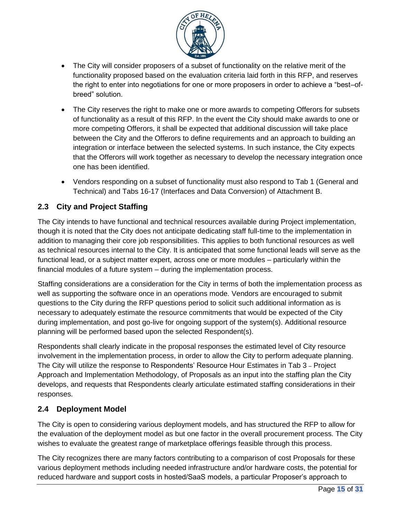

- The City will consider proposers of a subset of functionality on the relative merit of the functionality proposed based on the evaluation criteria laid forth in this RFP, and reserves the right to enter into negotiations for one or more proposers in order to achieve a "best–ofbreed" solution.
- The City reserves the right to make one or more awards to competing Offerors for subsets of functionality as a result of this RFP. In the event the City should make awards to one or more competing Offerors, it shall be expected that additional discussion will take place between the City and the Offerors to define requirements and an approach to building an integration or interface between the selected systems. In such instance, the City expects that the Offerors will work together as necessary to develop the necessary integration once one has been identified.
- Vendors responding on a subset of functionality must also respond to Tab 1 (General and Technical) and Tabs 16-17 (Interfaces and Data Conversion) of Attachment B.

# <span id="page-14-0"></span>**2.3 City and Project Staffing**

The City intends to have functional and technical resources available during Project implementation, though it is noted that the City does not anticipate dedicating staff full-time to the implementation in addition to managing their core job responsibilities. This applies to both functional resources as well as technical resources internal to the City. It is anticipated that some functional leads will serve as the functional lead, or a subject matter expert, across one or more modules – particularly within the financial modules of a future system – during the implementation process.

Staffing considerations are a consideration for the City in terms of both the implementation process as well as supporting the software once in an operations mode. Vendors are encouraged to submit questions to the City during the RFP questions period to solicit such additional information as is necessary to adequately estimate the resource commitments that would be expected of the City during implementation, and post go-live for ongoing support of the system(s). Additional resource planning will be performed based upon the selected Respondent(s).

Respondents shall clearly indicate in the proposal responses the estimated level of City resource involvement in the implementation process, in order to allow the City to perform adequate planning. The City will utilize the response to Respondents' Resource Hour Estimates in Tab 3 – Project Approach and Implementation Methodology, of Proposals as an input into the staffing plan the City develops, and requests that Respondents clearly articulate estimated staffing considerations in their responses.

# <span id="page-14-1"></span>**2.4 Deployment Model**

The City is open to considering various deployment models, and has structured the RFP to allow for the evaluation of the deployment model as but one factor in the overall procurement process. The City wishes to evaluate the greatest range of marketplace offerings feasible through this process.

The City recognizes there are many factors contributing to a comparison of cost Proposals for these various deployment methods including needed infrastructure and/or hardware costs, the potential for reduced hardware and support costs in hosted/SaaS models, a particular Proposer's approach to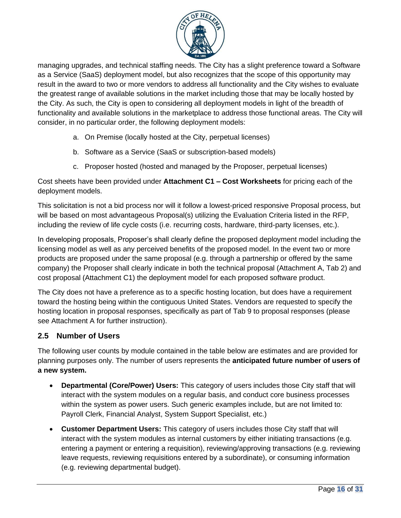

managing upgrades, and technical staffing needs. The City has a slight preference toward a Software as a Service (SaaS) deployment model, but also recognizes that the scope of this opportunity may result in the award to two or more vendors to address all functionality and the City wishes to evaluate the greatest range of available solutions in the market including those that may be locally hosted by the City. As such, the City is open to considering all deployment models in light of the breadth of functionality and available solutions in the marketplace to address those functional areas. The City will consider, in no particular order, the following deployment models:

- a. On Premise (locally hosted at the City, perpetual licenses)
- b. Software as a Service (SaaS or subscription-based models)
- c. Proposer hosted (hosted and managed by the Proposer, perpetual licenses)

Cost sheets have been provided under **Attachment C1 – Cost Worksheets** for pricing each of the deployment models.

This solicitation is not a bid process nor will it follow a lowest-priced responsive Proposal process, but will be based on most advantageous Proposal(s) utilizing the [Evaluation Criteria l](#page-22-1)isted in the RFP, including the review of life cycle costs (i.e. recurring costs, hardware, third-party licenses, etc.).

In developing proposals, Proposer's shall clearly define the proposed deployment model including the licensing model as well as any perceived benefits of the proposed model. In the event two or more products are proposed under the same proposal (e.g. through a partnership or offered by the same company) the Proposer shall clearly indicate in both the technical proposal (Attachment A, Tab 2) and cost proposal (Attachment C1) the deployment model for each proposed software product.

The City does not have a preference as to a specific hosting location, but does have a requirement toward the hosting being within the contiguous United States. Vendors are requested to specify the hosting location in proposal responses, specifically as part of Tab 9 to proposal responses (please see Attachment A for further instruction).

# <span id="page-15-0"></span>**2.5 Number of Users**

The following user counts by module contained in the table below are estimates and are provided for planning purposes only. The number of users represents the **anticipated future number of users of a new system.**

- **Departmental (Core/Power) Users:** This category of users includes those City staff that will interact with the system modules on a regular basis, and conduct core business processes within the system as power users. Such generic examples include, but are not limited to: Payroll Clerk, Financial Analyst, System Support Specialist, etc.)
- **Customer Department Users:** This category of users includes those City staff that will interact with the system modules as internal customers by either initiating transactions (e.g. entering a payment or entering a requisition), reviewing/approving transactions (e.g. reviewing leave requests, reviewing requisitions entered by a subordinate), or consuming information (e.g. reviewing departmental budget).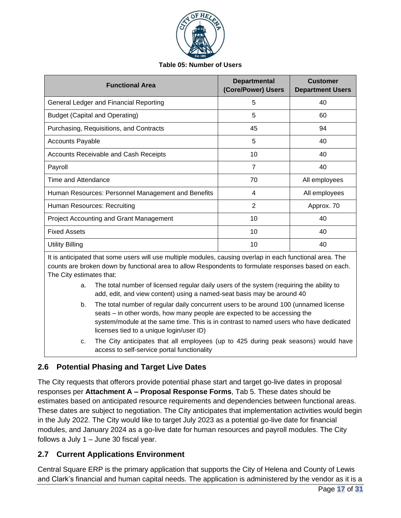

#### **Table 05: Number of Users**

| <b>Functional Area</b>                             | <b>Departmental</b><br>(Core/Power) Users | <b>Customer</b><br><b>Department Users</b> |
|----------------------------------------------------|-------------------------------------------|--------------------------------------------|
| General Ledger and Financial Reporting             | 5                                         | 40                                         |
| <b>Budget (Capital and Operating)</b>              | 5                                         | 60                                         |
| Purchasing, Requisitions, and Contracts            | 45                                        | 94                                         |
| <b>Accounts Payable</b>                            | 5                                         | 40                                         |
| Accounts Receivable and Cash Receipts              | 10                                        | 40                                         |
| Payroll                                            | 7                                         | 40                                         |
| Time and Attendance                                | 70                                        | All employees                              |
| Human Resources: Personnel Management and Benefits | 4                                         | All employees                              |
| Human Resources: Recruiting                        | 2                                         | Approx. 70                                 |
| <b>Project Accounting and Grant Management</b>     | 10                                        | 40                                         |
| <b>Fixed Assets</b>                                | 10                                        | 40                                         |
| <b>Utility Billing</b>                             | 10                                        | 40                                         |

It is anticipated that some users will use multiple modules, causing overlap in each functional area. The counts are broken down by functional area to allow Respondents to formulate responses based on each. The City estimates that:

- a. The total number of licensed regular daily users of the system (requiring the ability to add, edit, and view content) using a named-seat basis may be around 40
- b. The total number of regular daily concurrent users to be around 100 (unnamed license seats – in other words, how many people are expected to be accessing the system/module at the same time. This is in contrast to named users who have dedicated licenses tied to a unique login/user ID)
- c. The City anticipates that all employees (up to 425 during peak seasons) would have access to self-service portal functionality

# <span id="page-16-0"></span>**2.6 Potential Phasing and Target Live Dates**

The City requests that offerors provide potential phase start and target go-live dates in proposal responses per **Attachment A – Proposal Response Forms**, Tab 5. These dates should be estimates based on anticipated resource requirements and dependencies between functional areas. These dates are subject to negotiation. The City anticipates that implementation activities would begin in the July 2022. The City would like to target July 2023 as a potential go-live date for financial modules, and January 2024 as a go-live date for human resources and payroll modules. The City follows a July 1 – June 30 fiscal year.

# <span id="page-16-1"></span>**2.7 Current Applications Environment**

Central Square ERP is the primary application that supports the City of Helena and County of Lewis and Clark's financial and human capital needs. The application is administered by the vendor as it is a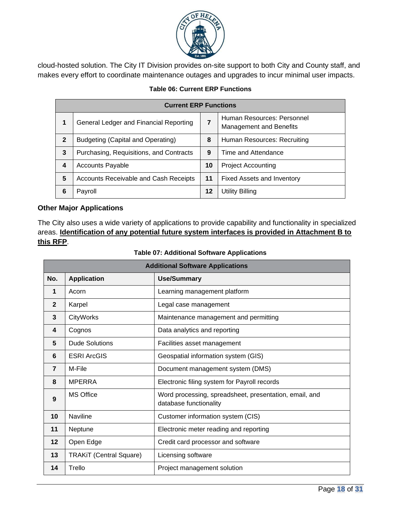

cloud-hosted solution. The City IT Division provides on-site support to both City and County staff, and makes every effort to coordinate maintenance outages and upgrades to incur minimal user impacts.

| <b>Current ERP Functions</b> |                                              |    |                                                              |
|------------------------------|----------------------------------------------|----|--------------------------------------------------------------|
| 1                            | General Ledger and Financial Reporting       |    | Human Resources: Personnel<br><b>Management and Benefits</b> |
| $\mathbf{2}$                 | <b>Budgeting (Capital and Operating)</b>     | 8  | Human Resources: Recruiting                                  |
| 3                            | Purchasing, Requisitions, and Contracts      | 9  | Time and Attendance                                          |
| 4                            | <b>Accounts Payable</b>                      | 10 | <b>Project Accounting</b>                                    |
| 5                            | <b>Accounts Receivable and Cash Receipts</b> | 11 | <b>Fixed Assets and Inventory</b>                            |
| 6                            | Payroll                                      | 12 | Utility Billing                                              |

### **Table 06: Current ERP Functions**

### **Other Major Applications**

The City also uses a wide variety of applications to provide capability and functionality in specialized areas. **Identification of any potential future system interfaces is provided in Attachment B to this RFP**.

| <b>Additional Software Applications</b> |                                |                                                                                  |
|-----------------------------------------|--------------------------------|----------------------------------------------------------------------------------|
| No.                                     | <b>Application</b>             | <b>Use/Summary</b>                                                               |
| 1                                       | Acorn                          | Learning management platform                                                     |
| $\overline{2}$                          | Karpel                         | Legal case management                                                            |
| 3                                       | <b>CityWorks</b>               | Maintenance management and permitting                                            |
| $\overline{\mathbf{4}}$                 | Cognos                         | Data analytics and reporting                                                     |
| 5                                       | <b>Dude Solutions</b>          | Facilities asset management                                                      |
| 6                                       | <b>ESRI ArcGIS</b>             | Geospatial information system (GIS)                                              |
| $\overline{7}$                          | M-File                         | Document management system (DMS)                                                 |
| 8                                       | <b>MPERRA</b>                  | Electronic filing system for Payroll records                                     |
| 9                                       | <b>MS Office</b>               | Word processing, spreadsheet, presentation, email, and<br>database functionality |
| 10                                      | <b>Naviline</b>                | Customer information system (CIS)                                                |
| 11                                      | Neptune                        | Electronic meter reading and reporting                                           |
| 12                                      | Open Edge                      | Credit card processor and software                                               |
| 13                                      | <b>TRAKIT (Central Square)</b> | Licensing software                                                               |
| 14                                      | Trello                         | Project management solution                                                      |

#### **Table 07: Additional Software Applications**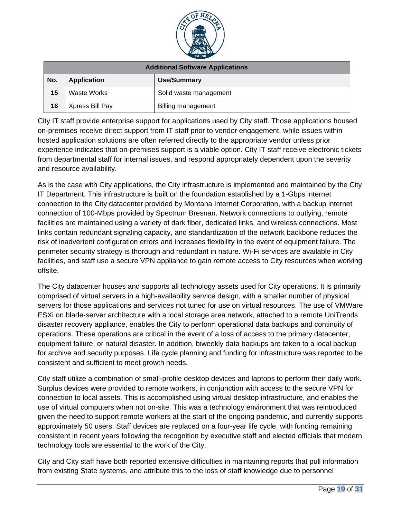

| <b>Additional Software Applications</b> |                    |                           |
|-----------------------------------------|--------------------|---------------------------|
| No.                                     | <b>Application</b> | <b>Use/Summary</b>        |
| 15                                      | Waste Works        | Solid waste management    |
| 16                                      | Xpress Bill Pay    | <b>Billing management</b> |

City IT staff provide enterprise support for applications used by City staff. Those applications housed on-premises receive direct support from IT staff prior to vendor engagement, while issues within hosted application solutions are often referred directly to the appropriate vendor unless prior experience indicates that on-premises support is a viable option. City IT staff receive electronic tickets from departmental staff for internal issues, and respond appropriately dependent upon the severity and resource availability.

As is the case with City applications, the City infrastructure is implemented and maintained by the City IT Department. This infrastructure is built on the foundation established by a 1-Gbps internet connection to the City datacenter provided by Montana Internet Corporation, with a backup internet connection of 100-Mbps provided by Spectrum Bresnan. Network connections to outlying, remote facilities are maintained using a variety of dark fiber, dedicated links, and wireless connections. Most links contain redundant signaling capacity, and standardization of the network backbone reduces the risk of inadvertent configuration errors and increases flexibility in the event of equipment failure. The perimeter security strategy is thorough and redundant in nature. Wi-Fi services are available in City facilities, and staff use a secure VPN appliance to gain remote access to City resources when working offsite.

The City datacenter houses and supports all technology assets used for City operations. It is primarily comprised of virtual servers in a high-availability service design, with a smaller number of physical servers for those applications and services not tuned for use on virtual resources. The use of VMWare ESXi on blade-server architecture with a local storage area network, attached to a remote UniTrends disaster recovery appliance, enables the City to perform operational data backups and continuity of operations. These operations are critical in the event of a loss of access to the primary datacenter, equipment failure, or natural disaster. In addition, biweekly data backups are taken to a local backup for archive and security purposes. Life cycle planning and funding for infrastructure was reported to be consistent and sufficient to meet growth needs.

City staff utilize a combination of small-profile desktop devices and laptops to perform their daily work. Surplus devices were provided to remote workers, in conjunction with access to the secure VPN for connection to local assets. This is accomplished using virtual desktop infrastructure, and enables the use of virtual computers when not on-site. This was a technology environment that was reintroduced given the need to support remote workers at the start of the ongoing pandemic, and currently supports approximately 50 users. Staff devices are replaced on a four-year life cycle, with funding remaining consistent in recent years following the recognition by executive staff and elected officials that modern technology tools are essential to the work of the City.

City and City staff have both reported extensive difficulties in maintaining reports that pull information from existing State systems, and attribute this to the loss of staff knowledge due to personnel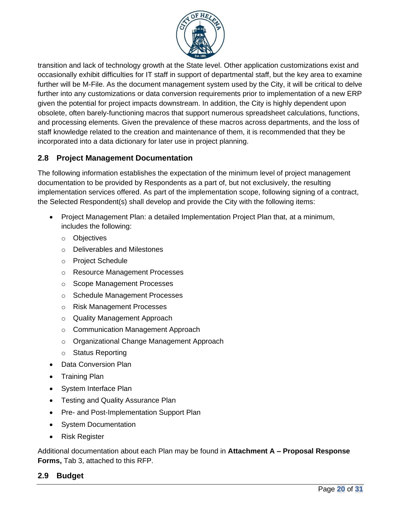

transition and lack of technology growth at the State level. Other application customizations exist and occasionally exhibit difficulties for IT staff in support of departmental staff, but the key area to examine further will be M-File. As the document management system used by the City, it will be critical to delve further into any customizations or data conversion requirements prior to implementation of a new ERP given the potential for project impacts downstream. In addition, the City is highly dependent upon obsolete, often barely-functioning macros that support numerous spreadsheet calculations, functions, and processing elements. Given the prevalence of these macros across departments, and the loss of staff knowledge related to the creation and maintenance of them, it is recommended that they be incorporated into a data dictionary for later use in project planning.

# <span id="page-19-0"></span>**2.8 Project Management Documentation**

The following information establishes the expectation of the minimum level of project management documentation to be provided by Respondents as a part of, but not exclusively, the resulting implementation services offered. As part of the implementation scope, following signing of a contract, the Selected Respondent(s) shall develop and provide the City with the following items:

- Project Management Plan: a detailed Implementation Project Plan that, at a minimum, includes the following:
	- o Objectives
	- o Deliverables and Milestones
	- o Project Schedule
	- o Resource Management Processes
	- o Scope Management Processes
	- o Schedule Management Processes
	- o Risk Management Processes
	- o Quality Management Approach
	- o Communication Management Approach
	- o Organizational Change Management Approach
	- o Status Reporting
- Data Conversion Plan
- Training Plan
- System Interface Plan
- Testing and Quality Assurance Plan
- Pre- and Post-Implementation Support Plan
- System Documentation
- Risk Register

Additional documentation about each Plan may be found in **Attachment A – Proposal Response Forms,** Tab 3, attached to this RFP.

# <span id="page-19-1"></span>**2.9 Budget**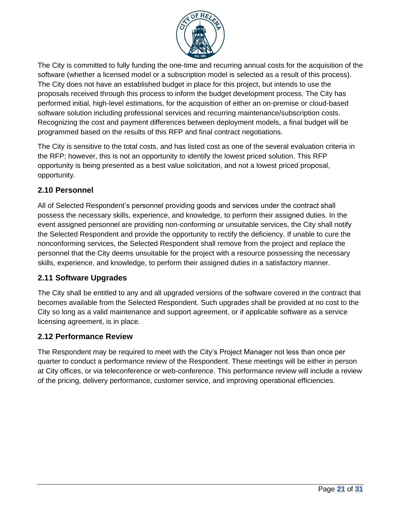

The City is committed to fully funding the one-time and recurring annual costs for the acquisition of the software (whether a licensed model or a subscription model is selected as a result of this process). The City does not have an established budget in place for this project, but intends to use the proposals received through this process to inform the budget development process. The City has performed initial, high-level estimations, for the acquisition of either an on-premise or cloud-based software solution including professional services and recurring maintenance/subscription costs. Recognizing the cost and payment differences between deployment models, a final budget will be programmed based on the results of this RFP and final contract negotiations.

The City is sensitive to the total costs, and has listed cost as one of the several evaluation criteria in the RFP; however, this is not an opportunity to identify the lowest priced solution. This RFP opportunity is being presented as a best value solicitation, and not a lowest priced proposal, opportunity.

# <span id="page-20-0"></span>**2.10 Personnel**

All of Selected Respondent's personnel providing goods and services under the contract shall possess the necessary skills, experience, and knowledge, to perform their assigned duties. In the event assigned personnel are providing non-conforming or unsuitable services, the City shall notify the Selected Respondent and provide the opportunity to rectify the deficiency. If unable to cure the nonconforming services, the Selected Respondent shall remove from the project and replace the personnel that the City deems unsuitable for the project with a resource possessing the necessary skills, experience, and knowledge, to perform their assigned duties in a satisfactory manner.

# <span id="page-20-1"></span>**2.11 Software Upgrades**

The City shall be entitled to any and all upgraded versions of the software covered in the contract that becomes available from the Selected Respondent. Such upgrades shall be provided at no cost to the City so long as a valid maintenance and support agreement, or if applicable software as a service licensing agreement, is in place.

### <span id="page-20-2"></span>**2.12 Performance Review**

The Respondent may be required to meet with the City's Project Manager not less than once per quarter to conduct a performance review of the Respondent. These meetings will be either in person at City offices, or via teleconference or web-conference. This performance review will include a review of the pricing, delivery performance, customer service, and improving operational efficiencies.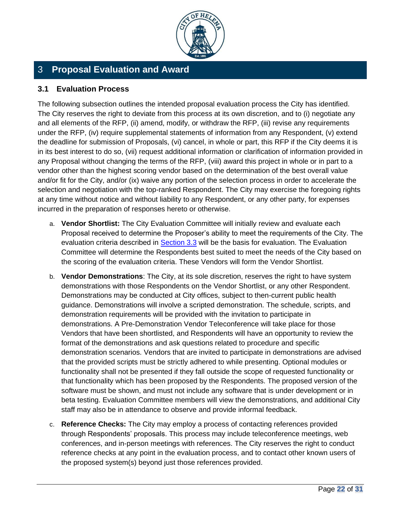

# <span id="page-21-0"></span>3 **Proposal Evaluation and Award**

### <span id="page-21-1"></span>**3.1 Evaluation Process**

The following subsection outlines the intended proposal evaluation process the City has identified. The City reserves the right to deviate from this process at its own discretion, and to (i) negotiate any and all elements of the RFP, (ii) amend, modify, or withdraw the RFP, (iii) revise any requirements under the RFP, (iv) require supplemental statements of information from any Respondent, (v) extend the deadline for submission of Proposals, (vi) cancel, in whole or part, this RFP if the City deems it is in its best interest to do so, (vii) request additional information or clarification of information provided in any Proposal without changing the terms of the RFP, (viii) award this project in whole or in part to a vendor other than the highest scoring vendor based on the determination of the best overall value and/or fit for the City, and/or (ix) waive any portion of the selection process in order to accelerate the selection and negotiation with the top-ranked Respondent. The City may exercise the foregoing rights at any time without notice and without liability to any Respondent, or any other party, for expenses incurred in the preparation of responses hereto or otherwise.

- a. **Vendor Shortlist:** The City Evaluation Committee will initially review and evaluate each Proposal received to determine the Proposer's ability to meet the requirements of the City. The evaluation criteria described in [Section 3.3](#page-22-0) will be the basis for evaluation. The Evaluation Committee will determine the Respondents best suited to meet the needs of the City based on the scoring of the evaluation criteria. These Vendors will form the Vendor Shortlist.
- b. **Vendor Demonstrations**: The City, at its sole discretion, reserves the right to have system demonstrations with those Respondents on the Vendor Shortlist, or any other Respondent. Demonstrations may be conducted at City offices, subject to then-current public health guidance. Demonstrations will involve a scripted demonstration. The schedule, scripts, and demonstration requirements will be provided with the invitation to participate in demonstrations. A Pre-Demonstration Vendor Teleconference will take place for those Vendors that have been shortlisted, and Respondents will have an opportunity to review the format of the demonstrations and ask questions related to procedure and specific demonstration scenarios. Vendors that are invited to participate in demonstrations are advised that the provided scripts must be strictly adhered to while presenting. Optional modules or functionality shall not be presented if they fall outside the scope of requested functionality or that functionality which has been proposed by the Respondents. The proposed version of the software must be shown, and must not include any software that is under development or in beta testing. Evaluation Committee members will view the demonstrations, and additional City staff may also be in attendance to observe and provide informal feedback.
- c. **Reference Checks:** The City may employ a process of contacting references provided through Respondents' proposals. This process may include teleconference meetings, web conferences, and in-person meetings with references. The City reserves the right to conduct reference checks at any point in the evaluation process, and to contact other known users of the proposed system(s) beyond just those references provided.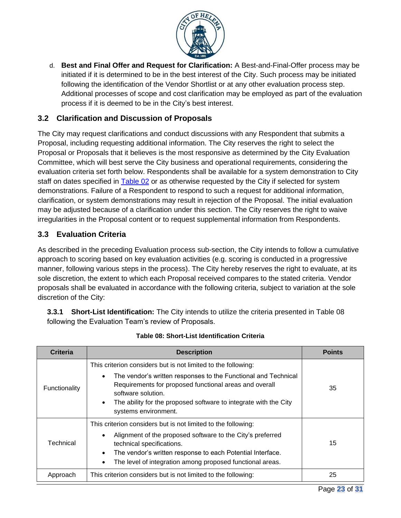

d. **Best and Final Offer and Request for Clarification:** A Best-and-Final-Offer process may be initiated if it is determined to be in the best interest of the City. Such process may be initiated following the identification of the Vendor Shortlist or at any other evaluation process step. Additional processes of scope and cost clarification may be employed as part of the evaluation process if it is deemed to be in the City's best interest.

# <span id="page-22-0"></span>**3.2 Clarification and Discussion of Proposals**

The City may request clarifications and conduct discussions with any Respondent that submits a Proposal, including requesting additional information. The City reserves the right to select the Proposal or Proposals that it believes is the most responsive as determined by the City Evaluation Committee, which will best serve the City business and operational requirements, considering the evaluation criteria set forth below. Respondents shall be available for a system demonstration to City staff on dates specified in [Table 02](#page-6-1) or as otherwise requested by the City if selected for system demonstrations. Failure of a Respondent to respond to such a request for additional information, clarification, or system demonstrations may result in rejection of the Proposal. The initial evaluation may be adjusted because of a clarification under this section. The City reserves the right to waive irregularities in the Proposal content or to request supplemental information from Respondents.

# <span id="page-22-1"></span>**3.3 Evaluation Criteria**

As described in the preceding Evaluation process sub-section, the City intends to follow a cumulative approach to scoring based on key evaluation activities (e.g. scoring is conducted in a progressive manner, following various steps in the process). The City hereby reserves the right to evaluate, at its sole discretion, the extent to which each Proposal received compares to the stated criteria. Vendor proposals shall be evaluated in accordance with the following criteria, subject to variation at the sole discretion of the City:

**3.3.1 Short-List Identification:** The City intends to utilize the criteria presented in Table 08 following the Evaluation Team's review of Proposals.

| <b>Criteria</b> | <b>Description</b>                                                                                                                                                                                                                                                   | <b>Points</b> |
|-----------------|----------------------------------------------------------------------------------------------------------------------------------------------------------------------------------------------------------------------------------------------------------------------|---------------|
| Functionality   | This criterion considers but is not limited to the following:                                                                                                                                                                                                        |               |
|                 | The vendor's written responses to the Functional and Technical<br>$\bullet$<br>Requirements for proposed functional areas and overall<br>software solution.<br>The ability for the proposed software to integrate with the City<br>$\bullet$<br>systems environment. | 35            |
|                 | This criterion considers but is not limited to the following:                                                                                                                                                                                                        |               |
| Technical       | Alignment of the proposed software to the City's preferred<br>technical specifications.<br>The vendor's written response to each Potential Interface.<br>The level of integration among proposed functional areas.<br>$\bullet$                                      | 15            |
| Approach        | This criterion considers but is not limited to the following:                                                                                                                                                                                                        | 25            |

#### **Table 08: Short-List Identification Criteria**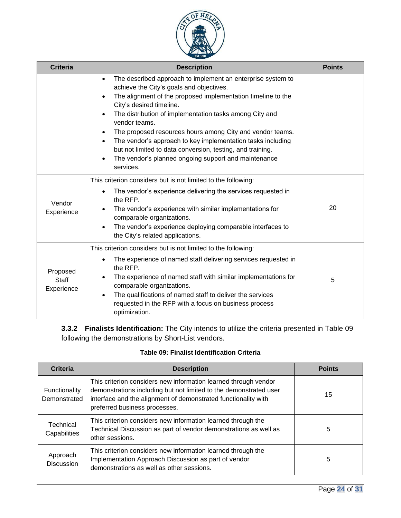

| <b>Criteria</b>                 | <b>Description</b>                                                                                                                                                                                                                                                                                                                                                                                                                                                                                                                                                                                                           | <b>Points</b> |
|---------------------------------|------------------------------------------------------------------------------------------------------------------------------------------------------------------------------------------------------------------------------------------------------------------------------------------------------------------------------------------------------------------------------------------------------------------------------------------------------------------------------------------------------------------------------------------------------------------------------------------------------------------------------|---------------|
|                                 | The described approach to implement an enterprise system to<br>$\bullet$<br>achieve the City's goals and objectives.<br>The alignment of the proposed implementation timeline to the<br>$\bullet$<br>City's desired timeline.<br>The distribution of implementation tasks among City and<br>$\bullet$<br>vendor teams.<br>The proposed resources hours among City and vendor teams.<br>$\bullet$<br>The vendor's approach to key implementation tasks including<br>$\bullet$<br>but not limited to data conversion, testing, and training.<br>The vendor's planned ongoing support and maintenance<br>$\bullet$<br>services. |               |
| Vendor<br>Experience            | This criterion considers but is not limited to the following:<br>The vendor's experience delivering the services requested in<br>$\bullet$<br>the RFP.<br>The vendor's experience with similar implementations for<br>comparable organizations.<br>The vendor's experience deploying comparable interfaces to<br>the City's related applications.                                                                                                                                                                                                                                                                            | 20            |
| Proposed<br>Staff<br>Experience | This criterion considers but is not limited to the following:<br>The experience of named staff delivering services requested in<br>the RFP.<br>The experience of named staff with similar implementations for<br>$\bullet$<br>comparable organizations.<br>The qualifications of named staff to deliver the services<br>$\bullet$<br>requested in the RFP with a focus on business process<br>optimization.                                                                                                                                                                                                                  | 5             |

**3.3.2 Finalists Identification:** The City intends to utilize the criteria presented in Table 09 following the demonstrations by Short-List vendors.

### **Table 09: Finalist Identification Criteria**

| <b>Criteria</b>               | <b>Description</b>                                                                                                                                                                                                                      | <b>Points</b> |
|-------------------------------|-----------------------------------------------------------------------------------------------------------------------------------------------------------------------------------------------------------------------------------------|---------------|
| Functionality<br>Demonstrated | This criterion considers new information learned through vendor<br>demonstrations including but not limited to the demonstrated user<br>interface and the alignment of demonstrated functionality with<br>preferred business processes. | 15            |
| Technical<br>Capabilities     | This criterion considers new information learned through the<br>Technical Discussion as part of vendor demonstrations as well as<br>other sessions.                                                                                     | 5             |
| Approach<br><b>Discussion</b> | This criterion considers new information learned through the<br>Implementation Approach Discussion as part of vendor<br>demonstrations as well as other sessions.                                                                       | 5             |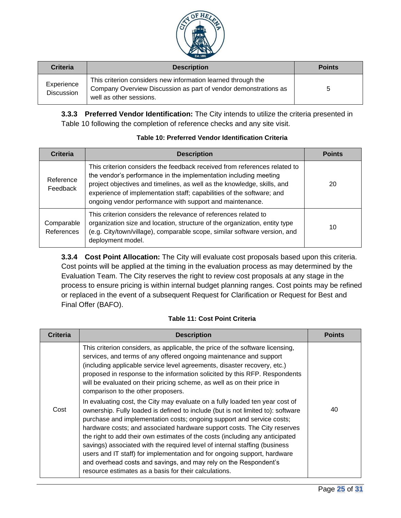

| <b>Criteria</b>                 | <b>Description</b>                                                                                                                                         | <b>Points</b> |
|---------------------------------|------------------------------------------------------------------------------------------------------------------------------------------------------------|---------------|
| Experience<br><b>Discussion</b> | This criterion considers new information learned through the<br>Company Overview Discussion as part of vendor demonstrations as<br>well as other sessions. |               |

**3.3.3 Preferred Vendor Identification:** The City intends to utilize the criteria presented in Table 10 following the completion of reference checks and any site visit.

| <b>Criteria</b>          | <b>Description</b>                                                                                                                                                                                                                                                                                                                                            | <b>Points</b> |
|--------------------------|---------------------------------------------------------------------------------------------------------------------------------------------------------------------------------------------------------------------------------------------------------------------------------------------------------------------------------------------------------------|---------------|
| Reference<br>Feedback    | This criterion considers the feedback received from references related to<br>the vendor's performance in the implementation including meeting<br>project objectives and timelines, as well as the knowledge, skills, and<br>experience of implementation staff; capabilities of the software; and<br>ongoing vendor performance with support and maintenance. | 20            |
| Comparable<br>References | This criterion considers the relevance of references related to<br>organization size and location, structure of the organization, entity type<br>(e.g. City/town/village), comparable scope, similar software version, and<br>deployment model.                                                                                                               | 10            |

#### **Table 10: Preferred Vendor Identification Criteria**

**3.3.4 Cost Point Allocation:** The City will evaluate cost proposals based upon this criteria. Cost points will be applied at the timing in the evaluation process as may determined by the Evaluation Team. The City reserves the right to review cost proposals at any stage in the process to ensure pricing is within internal budget planning ranges. Cost points may be refined or replaced in the event of a subsequent Request for Clarification or Request for Best and Final Offer (BAFO).

#### **Table 11: Cost Point Criteria**

| <b>Criteria</b> | <b>Description</b>                                                                                                                                                                                                                                                                                                                                                                                                                                                                                                                                                                                                                                                                          | <b>Points</b> |
|-----------------|---------------------------------------------------------------------------------------------------------------------------------------------------------------------------------------------------------------------------------------------------------------------------------------------------------------------------------------------------------------------------------------------------------------------------------------------------------------------------------------------------------------------------------------------------------------------------------------------------------------------------------------------------------------------------------------------|---------------|
|                 | This criterion considers, as applicable, the price of the software licensing,<br>services, and terms of any offered ongoing maintenance and support<br>(including applicable service level agreements, disaster recovery, etc.)<br>proposed in response to the information solicited by this RFP. Respondents<br>will be evaluated on their pricing scheme, as well as on their price in<br>comparison to the other proposers.                                                                                                                                                                                                                                                              |               |
| Cost            | In evaluating cost, the City may evaluate on a fully loaded ten year cost of<br>ownership. Fully loaded is defined to include (but is not limited to): software<br>purchase and implementation costs; ongoing support and service costs;<br>hardware costs; and associated hardware support costs. The City reserves<br>the right to add their own estimates of the costs (including any anticipated<br>savings) associated with the required level of internal staffing (business<br>users and IT staff) for implementation and for ongoing support, hardware<br>and overhead costs and savings, and may rely on the Respondent's<br>resource estimates as a basis for their calculations. | 40            |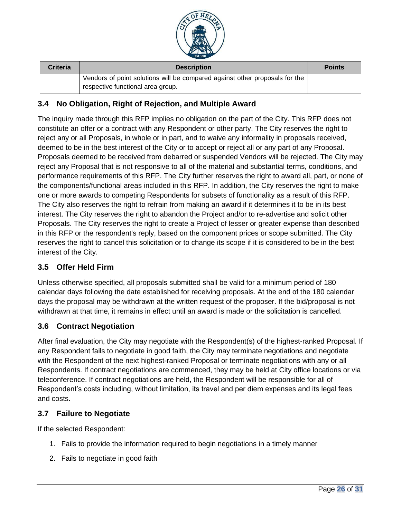

| <b>Criteria</b> | <b>Description</b>                                                                                               | <b>Points</b> |
|-----------------|------------------------------------------------------------------------------------------------------------------|---------------|
|                 | Vendors of point solutions will be compared against other proposals for the<br>respective functional area group. |               |

# <span id="page-25-0"></span>**3.4 No Obligation, Right of Rejection, and Multiple Award**

The inquiry made through this RFP implies no obligation on the part of the City. This RFP does not constitute an offer or a contract with any Respondent or other party. The City reserves the right to reject any or all Proposals, in whole or in part, and to waive any informality in proposals received, deemed to be in the best interest of the City or to accept or reject all or any part of any Proposal. Proposals deemed to be received from debarred or suspended Vendors will be rejected. The City may reject any Proposal that is not responsive to all of the material and substantial terms, conditions, and performance requirements of this RFP. The City further reserves the right to award all, part, or none of the components/functional areas included in this RFP. In addition, the City reserves the right to make one or more awards to competing Respondents for subsets of functionality as a result of this RFP. The City also reserves the right to refrain from making an award if it determines it to be in its best interest. The City reserves the right to abandon the Project and/or to re-advertise and solicit other Proposals. The City reserves the right to create a Project of lesser or greater expense than described in this RFP or the respondent's reply, based on the component prices or scope submitted. The City reserves the right to cancel this solicitation or to change its scope if it is considered to be in the best interest of the City.

# <span id="page-25-1"></span>**3.5 Offer Held Firm**

Unless otherwise specified, all proposals submitted shall be valid for a minimum period of 180 calendar days following the date established for receiving proposals. At the end of the 180 calendar days the proposal may be withdrawn at the written request of the proposer. If the bid/proposal is not withdrawn at that time, it remains in effect until an award is made or the solicitation is cancelled.

# <span id="page-25-2"></span>**3.6 Contract Negotiation**

After final evaluation, the City may negotiate with the Respondent(s) of the highest-ranked Proposal. If any Respondent fails to negotiate in good faith, the City may terminate negotiations and negotiate with the Respondent of the next highest-ranked Proposal or terminate negotiations with any or all Respondents. If contract negotiations are commenced, they may be held at City office locations or via teleconference. If contract negotiations are held, the Respondent will be responsible for all of Respondent's costs including, without limitation, its travel and per diem expenses and its legal fees and costs.

### <span id="page-25-3"></span>**3.7 Failure to Negotiate**

If the selected Respondent:

- 1. Fails to provide the information required to begin negotiations in a timely manner
- 2. Fails to negotiate in good faith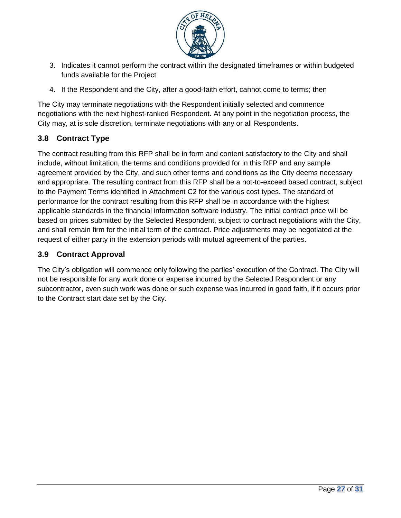

- 3. Indicates it cannot perform the contract within the designated timeframes or within budgeted funds available for the Project
- 4. If the Respondent and the City, after a good-faith effort, cannot come to terms; then

The City may terminate negotiations with the Respondent initially selected and commence negotiations with the next highest-ranked Respondent. At any point in the negotiation process, the City may, at is sole discretion, terminate negotiations with any or all Respondents.

# <span id="page-26-0"></span>**3.8 Contract Type**

The contract resulting from this RFP shall be in form and content satisfactory to the City and shall include, without limitation, the terms and conditions provided for in this RFP and any sample agreement provided by the City, and such other terms and conditions as the City deems necessary and appropriate. The resulting contract from this RFP shall be a not-to-exceed based contract, subject to the Payment Terms identified in Attachment C2 for the various cost types. The standard of performance for the contract resulting from this RFP shall be in accordance with the highest applicable standards in the financial information software industry. The initial contract price will be based on prices submitted by the Selected Respondent, subject to contract negotiations with the City, and shall remain firm for the initial term of the contract. Price adjustments may be negotiated at the request of either party in the extension periods with mutual agreement of the parties.

# <span id="page-26-1"></span>**3.9 Contract Approval**

The City's obligation will commence only following the parties' execution of the Contract. The City will not be responsible for any work done or expense incurred by the Selected Respondent or any subcontractor, even such work was done or such expense was incurred in good faith, if it occurs prior to the Contract start date set by the City.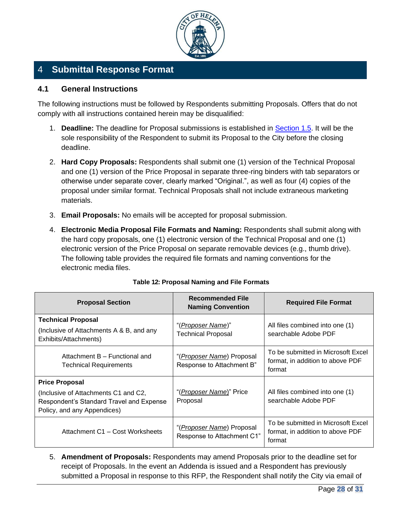

# <span id="page-27-0"></span>4 **Submittal Response Format**

### <span id="page-27-1"></span>**4.1 General Instructions**

The following instructions must be followed by Respondents submitting Proposals. Offers that do not comply with all instructions contained herein may be disqualified:

- 1. **Deadline:** The deadline for Proposal submissions is established in [Section 1.5.](#page-6-1) It will be the sole responsibility of the Respondent to submit its Proposal to the City before the closing deadline.
- 2. **Hard Copy Proposals:** Respondents shall submit one (1) version of the Technical Proposal and one (1) version of the Price Proposal in separate three-ring binders with tab separators or otherwise under separate cover, clearly marked "Original.", as well as four (4) copies of the proposal under similar format. Technical Proposals shall not include extraneous marketing materials.
- 3. **Email Proposals:** No emails will be accepted for proposal submission.
- 4. **Electronic Media Proposal File Formats and Naming:** Respondents shall submit along with the hard copy proposals, one (1) electronic version of the Technical Proposal and one (1) electronic version of the Price Proposal on separate removable devices (e.g., thumb drive). The following table provides the required file formats and naming conventions for the electronic media files.

| <b>Proposal Section</b>                                                                                                                  | <b>Recommended File</b><br><b>Naming Convention</b>              | <b>Required File Format</b>                                                      |
|------------------------------------------------------------------------------------------------------------------------------------------|------------------------------------------------------------------|----------------------------------------------------------------------------------|
| <b>Technical Proposal</b><br>(Inclusive of Attachments A & B, and any<br>Exhibits/Attachments)                                           | "( <u>Proposer Name</u> )"<br><b>Technical Proposal</b>          | All files combined into one (1)<br>searchable Adobe PDF                          |
| Attachment B - Functional and<br><b>Technical Requirements</b>                                                                           | "(Proposer Name) Proposal<br>Response to Attachment B"           | To be submitted in Microsoft Excel<br>format, in addition to above PDF<br>format |
| <b>Price Proposal</b><br>(Inclusive of Attachments C1 and C2,<br>Respondent's Standard Travel and Expense<br>Policy, and any Appendices) | "( <i>Proposer Name</i> )" Price<br>Proposal                     | All files combined into one (1)<br>searchable Adobe PDF                          |
| Attachment C1 - Cost Worksheets                                                                                                          | "( <i>Proposer Name</i> ) Proposal<br>Response to Attachment C1" | To be submitted in Microsoft Excel<br>format, in addition to above PDF<br>format |

#### **Table 12: Proposal Naming and File Formats**

5. **Amendment of Proposals:** Respondents may amend Proposals prior to the deadline set for receipt of Proposals. In the event an Addenda is issued and a Respondent has previously submitted a Proposal in response to this RFP, the Respondent shall notify the City via email of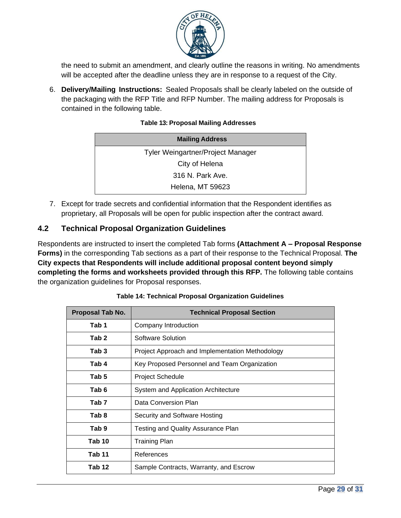

the need to submit an amendment, and clearly outline the reasons in writing. No amendments will be accepted after the deadline unless they are in response to a request of the City.

6. **Delivery/Mailing Instructions:** Sealed Proposals shall be clearly labeled on the outside of the packaging with the RFP Title and RFP Number. The mailing address for Proposals is contained in the following table.

#### **Table 13: Proposal Mailing Addresses**

| <b>Mailing Address</b>                   |
|------------------------------------------|
| <b>Tyler Weingartner/Project Manager</b> |
| City of Helena                           |
| 316 N. Park Ave.                         |
| <b>Helena, MT 59623</b>                  |

7. Except for trade secrets and confidential information that the Respondent identifies as proprietary, all Proposals will be open for public inspection after the contract award.

### <span id="page-28-0"></span>**4.2 Technical Proposal Organization Guidelines**

Respondents are instructed to insert the completed Tab forms **(Attachment A – Proposal Response Forms)** in the corresponding Tab sections as a part of their response to the Technical Proposal. **The City expects that Respondents will include additional proposal content beyond simply completing the forms and worksheets provided through this RFP.** The following table contains the organization guidelines for Proposal responses.

| Proposal Tab No. | <b>Technical Proposal Section</b>               |
|------------------|-------------------------------------------------|
| Tab 1            | Company Introduction                            |
| Tab 2            | Software Solution                               |
| Tab 3            | Project Approach and Implementation Methodology |
| Tab 4            | Key Proposed Personnel and Team Organization    |
| Tab 5            | <b>Project Schedule</b>                         |
| Tab 6            | System and Application Architecture             |
| Tab 7            | Data Conversion Plan                            |
| Tab 8            | Security and Software Hosting                   |
| Tab <sub>9</sub> | Testing and Quality Assurance Plan              |
| Tab 10           | Training Plan                                   |
| Tab 11           | References                                      |
| Tab 12           | Sample Contracts, Warranty, and Escrow          |

**Table 14: Technical Proposal Organization Guidelines**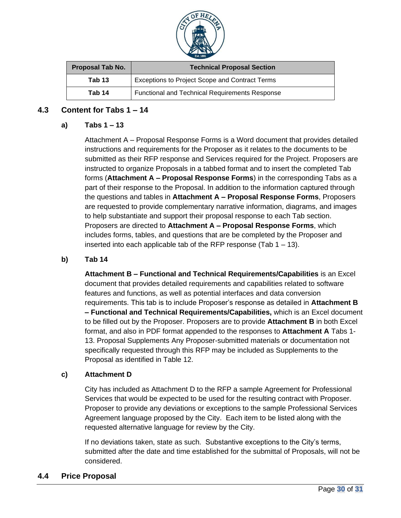

| Proposal Tab No. | <b>Technical Proposal Section</b>                     |
|------------------|-------------------------------------------------------|
| Tab 13           | Exceptions to Project Scope and Contract Terms        |
| Tab 14           | <b>Functional and Technical Requirements Response</b> |

### <span id="page-29-0"></span>**4.3 Content for Tabs 1 – 14**

#### **a) Tabs 1 – 13**

Attachment A – Proposal Response Forms is a Word document that provides detailed instructions and requirements for the Proposer as it relates to the documents to be submitted as their RFP response and Services required for the Project. Proposers are instructed to organize Proposals in a tabbed format and to insert the completed Tab forms (**Attachment A – Proposal Response Forms**) in the corresponding Tabs as a part of their response to the Proposal. In addition to the information captured through the questions and tables in **Attachment A – Proposal Response Forms**, Proposers are requested to provide complementary narrative information, diagrams, and images to help substantiate and support their proposal response to each Tab section. Proposers are directed to **Attachment A – Proposal Response Forms**, which includes forms, tables, and questions that are be completed by the Proposer and inserted into each applicable tab of the RFP response (Tab  $1 - 13$ ).

#### **b) Tab 14**

**Attachment B – Functional and Technical Requirements/Capabilities** is an Excel document that provides detailed requirements and capabilities related to software features and functions, as well as potential interfaces and data conversion requirements. This tab is to include Proposer's response as detailed in **Attachment B – Functional and Technical Requirements/Capabilities,** which is an Excel document to be filled out by the Proposer. Proposers are to provide **Attachment B** in both Excel format, and also in PDF format appended to the responses to **Attachment A** Tabs 1- 13. Proposal Supplements Any Proposer-submitted materials or documentation not specifically requested through this RFP may be included as Supplements to the Proposal as identified in Table 12.

#### **c) Attachment D**

City has included as Attachment D to the RFP a sample Agreement for Professional Services that would be expected to be used for the resulting contract with Proposer. Proposer to provide any deviations or exceptions to the sample Professional Services Agreement language proposed by the City. Each item to be listed along with the requested alternative language for review by the City.

If no deviations taken, state as such. Substantive exceptions to the City's terms, submitted after the date and time established for the submittal of Proposals, will not be considered.

### <span id="page-29-1"></span>**4.4 Price Proposal**